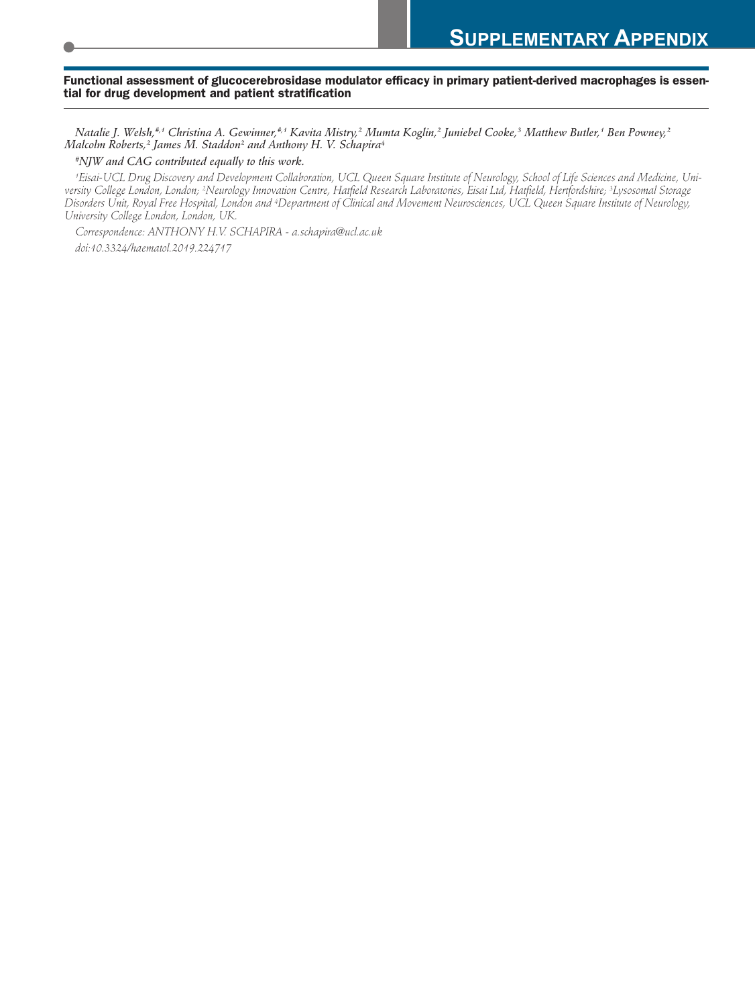# Functional assessment of glucocerebrosidase modulator efficacy in primary patient-derived macrophages is essen-<br>tial for drug development and patient stratification

Natalie J. Welsh,#1 Christina A. Gewinner,#1 Kavita Mistry,? Mumta Koglin,? Juniebel Cooke,3 Matthew Butler,1 Ben Powney,? *Malcolm Roberts, <sup>2</sup> James M. Staddon2 and Anthony H. V. Schapira4*

*#NJW and CAG contributed equally to this work.*

'Eisai-UCL Drug Discovery and Development Collaboration, UCL Queen Square Institute of Neurology, School of Life Sciences and Medicine, University College London, London; <sup>2</sup>Neurology Innovation Centre, Hatfield Research Laboratories, Eisai Ltd, Hatfield, Hertfordshire; <sup>3</sup>Lysosomal Storage Disorders Unit, Royal Free Hospital, London and <sup>4</sup>Department of Clinical and Movement Neurosciences, UCL Queen Square Institute of Neurology, *University College London, London, UK.*

*Correspondence: ANTHONY H.V. SCHAPIRA - a.schapira@ucl.ac.uk doi:10.3324/haematol.2019.224717*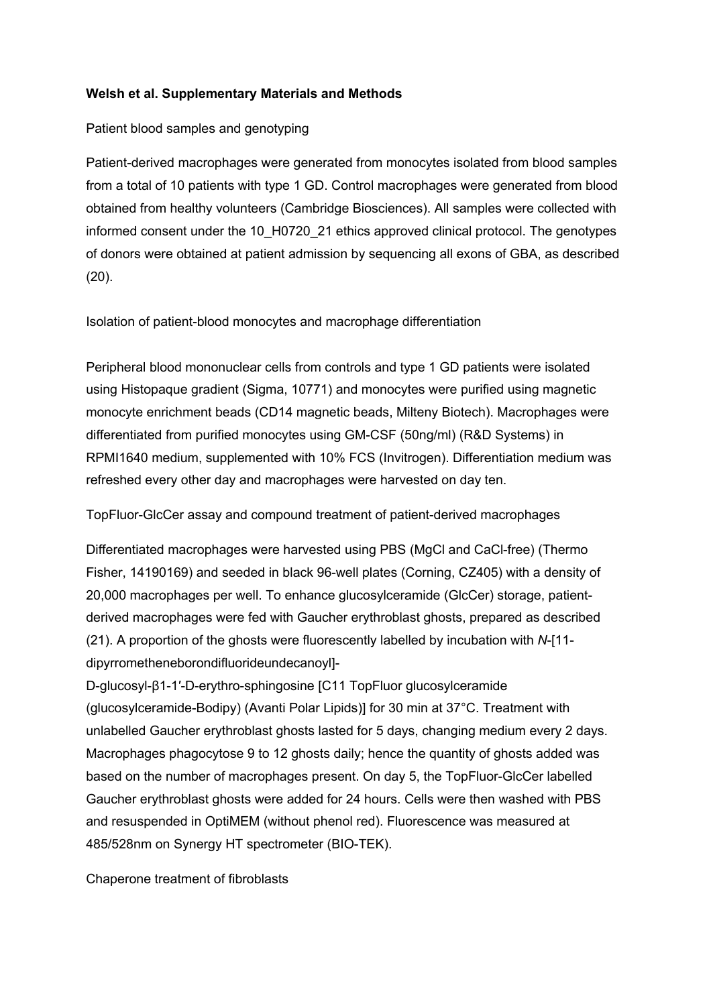### **Welsh et al. Supplementary Materials and Methods**

### Patient blood samples and genotyping

Patient-derived macrophages were generated from monocytes isolated from blood samples from a total of 10 patients with type 1 GD. Control macrophages were generated from blood obtained from healthy volunteers (Cambridge Biosciences). All samples were collected with informed consent under the 10 H0720 21 ethics approved clinical protocol. The genotypes of donors were obtained at patient admission by sequencing all exons of GBA, as described (20).

Isolation of patient-blood monocytes and macrophage differentiation

Peripheral blood mononuclear cells from controls and type 1 GD patients were isolated using Histopaque gradient (Sigma, 10771) and monocytes were purified using magnetic monocyte enrichment beads (CD14 magnetic beads, Milteny Biotech). Macrophages were differentiated from purified monocytes using GM-CSF (50ng/ml) (R&D Systems) in RPMI1640 medium, supplemented with 10% FCS (Invitrogen). Differentiation medium was refreshed every other day and macrophages were harvested on day ten.

TopFluor-GlcCer assay and compound treatment of patient-derived macrophages

Differentiated macrophages were harvested using PBS (MgCl and CaCl-free) (Thermo Fisher, 14190169) and seeded in black 96-well plates (Corning, CZ405) with a density of 20,000 macrophages per well. To enhance glucosylceramide (GlcCer) storage, patientderived macrophages were fed with Gaucher erythroblast ghosts, prepared as described (21). A proportion of the ghosts were fluorescently labelled by incubation with *N*-[11 dipyrrometheneborondifluorideundecanoyl]-

D-glucosyl-β1-1′-D-erythro-sphingosine [C11 TopFluor glucosylceramide (glucosylceramide-Bodipy) (Avanti Polar Lipids)] for 30 min at 37°C. Treatment with unlabelled Gaucher erythroblast ghosts lasted for 5 days, changing medium every 2 days. Macrophages phagocytose 9 to 12 ghosts daily; hence the quantity of ghosts added was based on the number of macrophages present. On day 5, the TopFluor-GlcCer labelled Gaucher erythroblast ghosts were added for 24 hours. Cells were then washed with PBS and resuspended in OptiMEM (without phenol red). Fluorescence was measured at 485/528nm on Synergy HT spectrometer (BIO-TEK).

Chaperone treatment of fibroblasts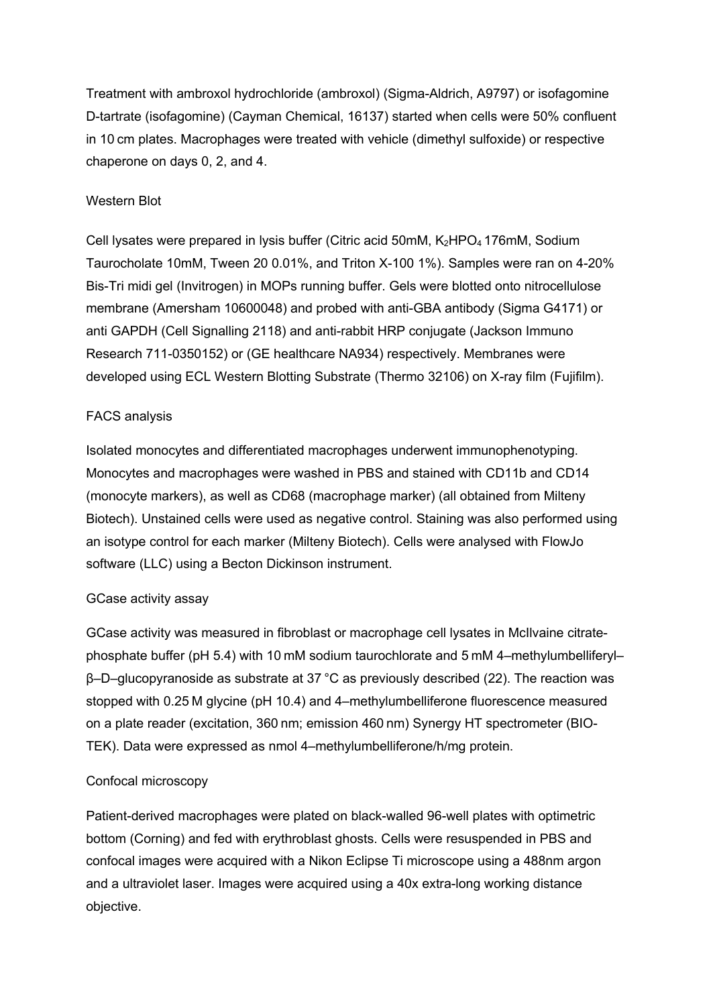Treatment with ambroxol hydrochloride (ambroxol) (Sigma-Aldrich, A9797) or isofagomine D-tartrate (isofagomine) (Cayman Chemical, 16137) started when cells were 50% confluent in 10 cm plates. Macrophages were treated with vehicle (dimethyl sulfoxide) or respective chaperone on days 0, 2, and 4.

## Western Blot

Cell lysates were prepared in lysis buffer (Citric acid 50mM, K<sub>2</sub>HPO<sub>4</sub> 176mM, Sodium Taurocholate 10mM, Tween 20 0.01%, and Triton X-100 1%). Samples were ran on 4-20% Bis-Tri midi gel (Invitrogen) in MOPs running buffer. Gels were blotted onto nitrocellulose membrane (Amersham 10600048) and probed with anti-GBA antibody (Sigma G4171) or anti GAPDH (Cell Signalling 2118) and anti-rabbit HRP conjugate (Jackson Immuno Research 711-0350152) or (GE healthcare NA934) respectively. Membranes were developed using ECL Western Blotting Substrate (Thermo 32106) on X-ray film (Fujifilm).

## FACS analysis

Isolated monocytes and differentiated macrophages underwent immunophenotyping. Monocytes and macrophages were washed in PBS and stained with CD11b and CD14 (monocyte markers), as well as CD68 (macrophage marker) (all obtained from Milteny Biotech). Unstained cells were used as negative control. Staining was also performed using an isotype control for each marker (Milteny Biotech). Cells were analysed with FlowJo software (LLC) using a Becton Dickinson instrument.

#### GCase activity assay

GCase activity was measured in fibroblast or macrophage cell lysates in McIlvaine citratephosphate buffer (pH 5.4) with 10 mM sodium taurochlorate and 5 mM 4–methylumbelliferyl– β–D–glucopyranoside as substrate at 37 °C as previously described (22). The reaction was stopped with 0.25 M glycine (pH 10.4) and 4–methylumbelliferone fluorescence measured on a plate reader (excitation, 360 nm; emission 460 nm) Synergy HT spectrometer (BIO-TEK). Data were expressed as nmol 4–methylumbelliferone/h/mg protein.

#### Confocal microscopy

Patient-derived macrophages were plated on black-walled 96-well plates with optimetric bottom (Corning) and fed with erythroblast ghosts. Cells were resuspended in PBS and confocal images were acquired with a Nikon Eclipse Ti microscope using a 488nm argon and a ultraviolet laser. Images were acquired using a 40x extra-long working distance objective.